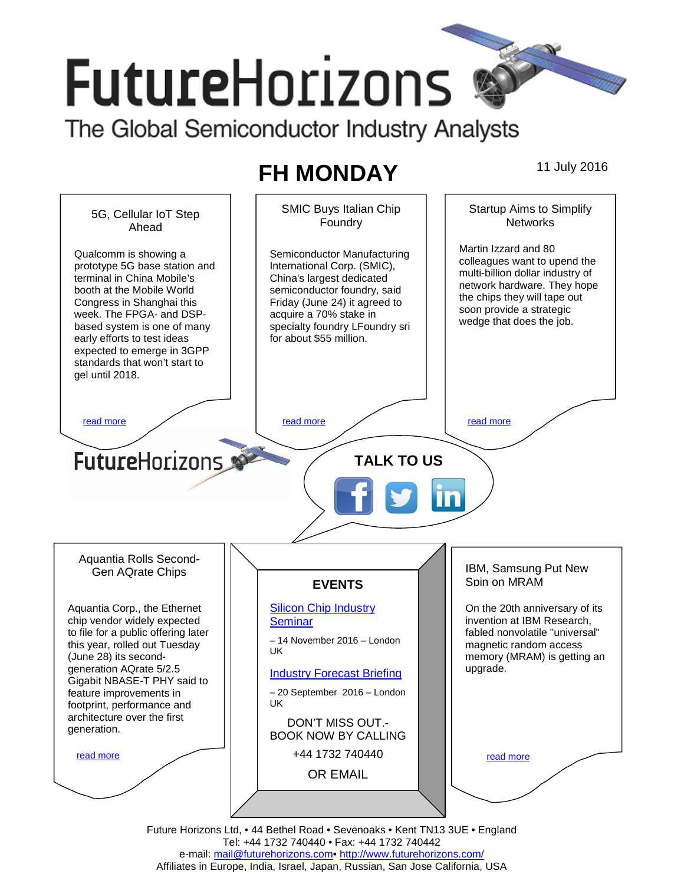# **FutureHorizons** The Global Semiconductor Industry Analysts

## **FH MONDAY** 11 July 2016



Tel: +44 1732 740440 • Fax: +44 1732 740442 e-mail: mail@futurehorizons.com• http://www.futurehorizons.com/ Affiliates in Europe, India, Israel, Japan, Russian, San Jose California, USA